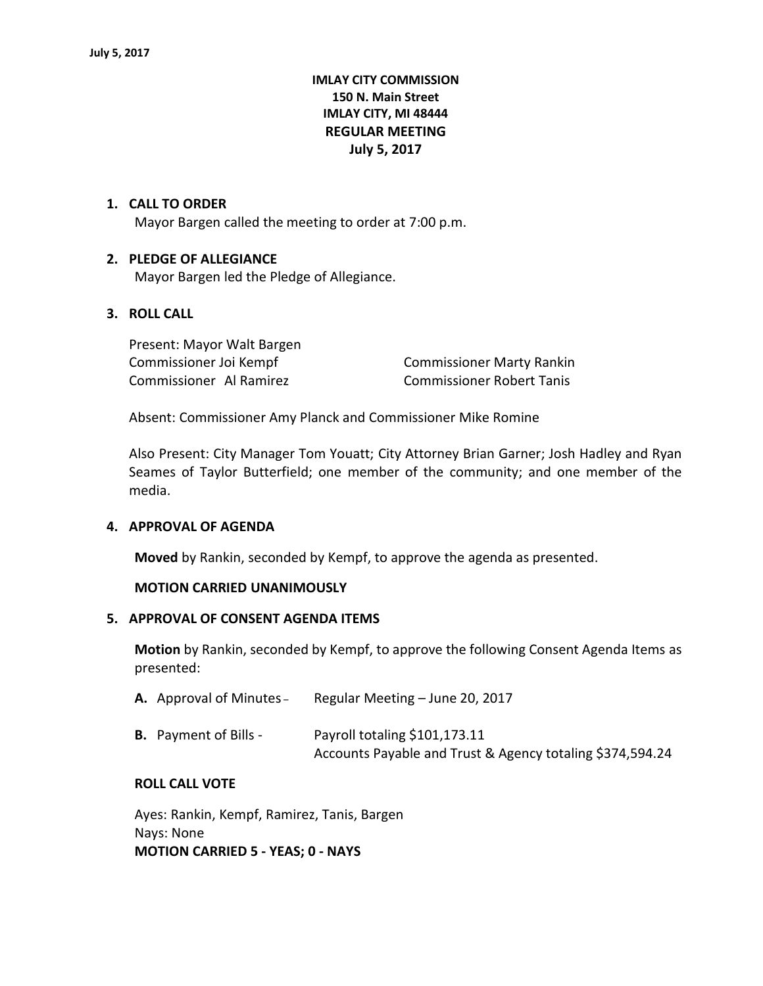# **IMLAY CITY COMMISSION 150 N. Main Street IMLAY CITY, MI 48444 REGULAR MEETING July 5, 2017**

#### **1. CALL TO ORDER**

Mayor Bargen called the meeting to order at 7:00 p.m.

#### **2. PLEDGE OF ALLEGIANCE**

Mayor Bargen led the Pledge of Allegiance.

#### **3. ROLL CALL**

Present: Mayor Walt Bargen Commissioner Al Ramirez Commissioner Robert Tanis

Commissioner Joi Kempf Commissioner Marty Rankin

Absent: Commissioner Amy Planck and Commissioner Mike Romine

Also Present: City Manager Tom Youatt; City Attorney Brian Garner; Josh Hadley and Ryan Seames of Taylor Butterfield; one member of the community; and one member of the media.

#### **4. APPROVAL OF AGENDA**

**Moved** by Rankin, seconded by Kempf, to approve the agenda as presented.

#### **MOTION CARRIED UNANIMOUSLY**

#### **5. APPROVAL OF CONSENT AGENDA ITEMS**

**Motion** by Rankin, seconded by Kempf, to approve the following Consent Agenda Items as presented:

| Regular Meeting - June 20, 2017<br>A. Approval of Minutes- |  |
|------------------------------------------------------------|--|
|------------------------------------------------------------|--|

| <b>B.</b> Payment of Bills - | Payroll totaling \$101,173.11                             |
|------------------------------|-----------------------------------------------------------|
|                              | Accounts Payable and Trust & Agency totaling \$374,594.24 |

#### **ROLL CALL VOTE**

Ayes: Rankin, Kempf, Ramirez, Tanis, Bargen Nays: None **MOTION CARRIED 5 - YEAS; 0 - NAYS**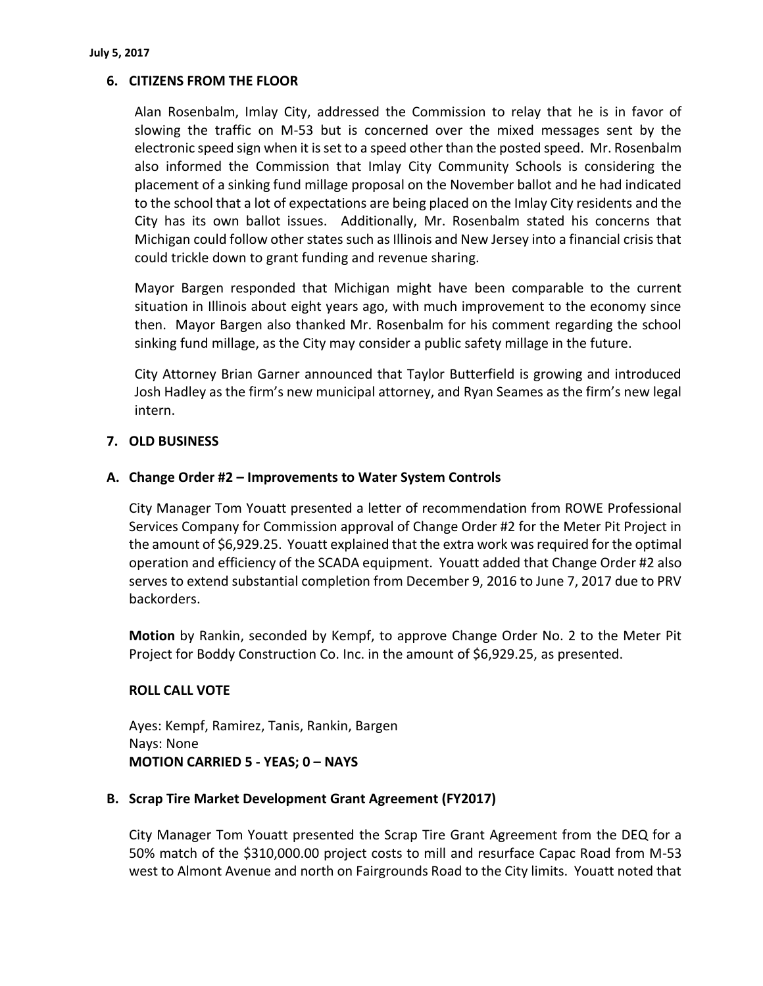# **6. CITIZENS FROM THE FLOOR**

Alan Rosenbalm, Imlay City, addressed the Commission to relay that he is in favor of slowing the traffic on M-53 but is concerned over the mixed messages sent by the electronic speed sign when it is set to a speed other than the posted speed. Mr. Rosenbalm also informed the Commission that Imlay City Community Schools is considering the placement of a sinking fund millage proposal on the November ballot and he had indicated to the school that a lot of expectations are being placed on the Imlay City residents and the City has its own ballot issues. Additionally, Mr. Rosenbalm stated his concerns that Michigan could follow other states such as Illinois and New Jersey into a financial crisis that could trickle down to grant funding and revenue sharing.

Mayor Bargen responded that Michigan might have been comparable to the current situation in Illinois about eight years ago, with much improvement to the economy since then. Mayor Bargen also thanked Mr. Rosenbalm for his comment regarding the school sinking fund millage, as the City may consider a public safety millage in the future.

City Attorney Brian Garner announced that Taylor Butterfield is growing and introduced Josh Hadley as the firm's new municipal attorney, and Ryan Seames as the firm's new legal intern.

# **7. OLD BUSINESS**

### **A. Change Order #2 – Improvements to Water System Controls**

City Manager Tom Youatt presented a letter of recommendation from ROWE Professional Services Company for Commission approval of Change Order #2 for the Meter Pit Project in the amount of \$6,929.25. Youatt explained that the extra work was required for the optimal operation and efficiency of the SCADA equipment. Youatt added that Change Order #2 also serves to extend substantial completion from December 9, 2016 to June 7, 2017 due to PRV backorders.

**Motion** by Rankin, seconded by Kempf, to approve Change Order No. 2 to the Meter Pit Project for Boddy Construction Co. Inc. in the amount of \$6,929.25, as presented.

### **ROLL CALL VOTE**

Ayes: Kempf, Ramirez, Tanis, Rankin, Bargen Nays: None **MOTION CARRIED 5 - YEAS; 0 – NAYS**

### **B. Scrap Tire Market Development Grant Agreement (FY2017)**

City Manager Tom Youatt presented the Scrap Tire Grant Agreement from the DEQ for a 50% match of the \$310,000.00 project costs to mill and resurface Capac Road from M-53 west to Almont Avenue and north on Fairgrounds Road to the City limits. Youatt noted that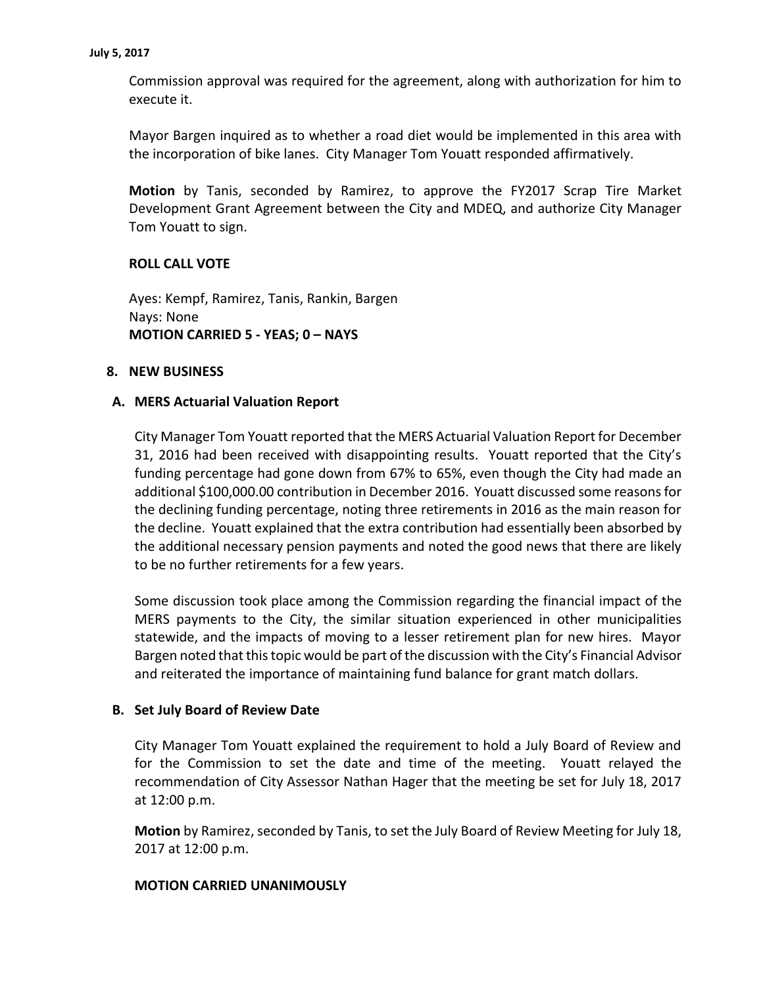Commission approval was required for the agreement, along with authorization for him to execute it.

Mayor Bargen inquired as to whether a road diet would be implemented in this area with the incorporation of bike lanes. City Manager Tom Youatt responded affirmatively.

**Motion** by Tanis, seconded by Ramirez, to approve the FY2017 Scrap Tire Market Development Grant Agreement between the City and MDEQ, and authorize City Manager Tom Youatt to sign.

# **ROLL CALL VOTE**

Ayes: Kempf, Ramirez, Tanis, Rankin, Bargen Nays: None **MOTION CARRIED 5 - YEAS; 0 – NAYS**

#### **8. NEW BUSINESS**

### **A. MERS Actuarial Valuation Report**

City Manager Tom Youatt reported that the MERS Actuarial Valuation Report for December 31, 2016 had been received with disappointing results. Youatt reported that the City's funding percentage had gone down from 67% to 65%, even though the City had made an additional \$100,000.00 contribution in December 2016. Youatt discussed some reasons for the declining funding percentage, noting three retirements in 2016 as the main reason for the decline. Youatt explained that the extra contribution had essentially been absorbed by the additional necessary pension payments and noted the good news that there are likely to be no further retirements for a few years.

Some discussion took place among the Commission regarding the financial impact of the MERS payments to the City, the similar situation experienced in other municipalities statewide, and the impacts of moving to a lesser retirement plan for new hires. Mayor Bargen noted that this topic would be part of the discussion with the City's Financial Advisor and reiterated the importance of maintaining fund balance for grant match dollars.

### **B. Set July Board of Review Date**

City Manager Tom Youatt explained the requirement to hold a July Board of Review and for the Commission to set the date and time of the meeting. Youatt relayed the recommendation of City Assessor Nathan Hager that the meeting be set for July 18, 2017 at 12:00 p.m.

**Motion** by Ramirez, seconded by Tanis, to set the July Board of Review Meeting for July 18, 2017 at 12:00 p.m.

#### **MOTION CARRIED UNANIMOUSLY**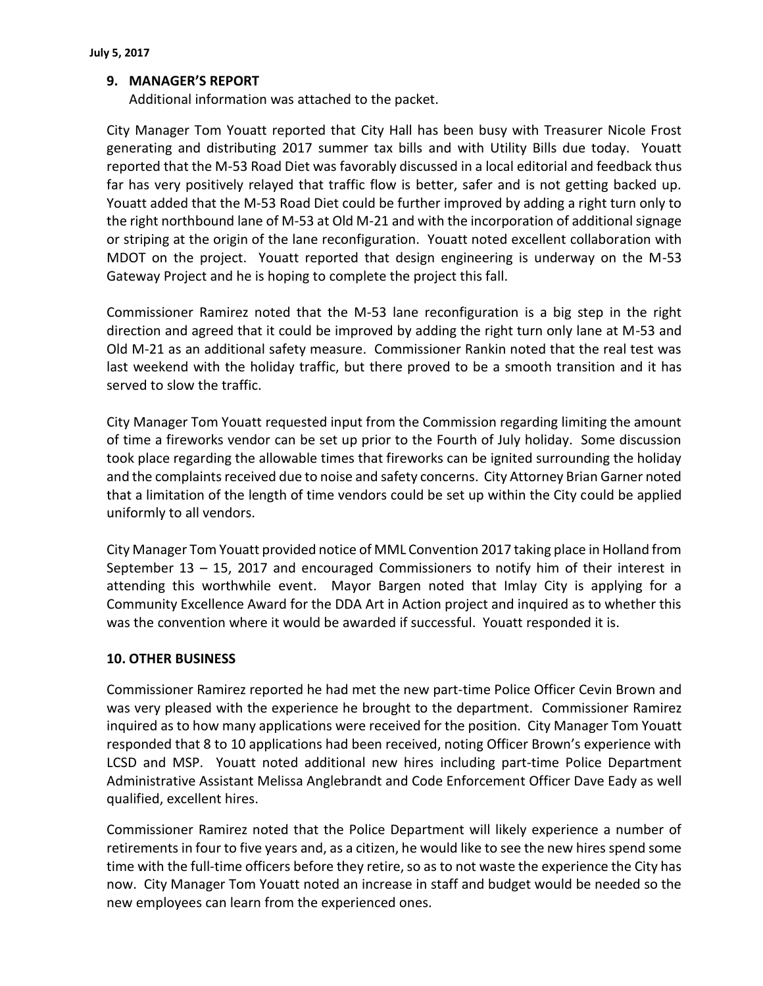# **9. MANAGER'S REPORT**

Additional information was attached to the packet.

City Manager Tom Youatt reported that City Hall has been busy with Treasurer Nicole Frost generating and distributing 2017 summer tax bills and with Utility Bills due today. Youatt reported that the M-53 Road Diet was favorably discussed in a local editorial and feedback thus far has very positively relayed that traffic flow is better, safer and is not getting backed up. Youatt added that the M-53 Road Diet could be further improved by adding a right turn only to the right northbound lane of M-53 at Old M-21 and with the incorporation of additional signage or striping at the origin of the lane reconfiguration. Youatt noted excellent collaboration with MDOT on the project. Youatt reported that design engineering is underway on the M-53 Gateway Project and he is hoping to complete the project this fall.

Commissioner Ramirez noted that the M-53 lane reconfiguration is a big step in the right direction and agreed that it could be improved by adding the right turn only lane at M-53 and Old M-21 as an additional safety measure. Commissioner Rankin noted that the real test was last weekend with the holiday traffic, but there proved to be a smooth transition and it has served to slow the traffic.

City Manager Tom Youatt requested input from the Commission regarding limiting the amount of time a fireworks vendor can be set up prior to the Fourth of July holiday. Some discussion took place regarding the allowable times that fireworks can be ignited surrounding the holiday and the complaints received due to noise and safety concerns. City Attorney Brian Garner noted that a limitation of the length of time vendors could be set up within the City could be applied uniformly to all vendors.

City Manager Tom Youatt provided notice of MML Convention 2017 taking place in Holland from September  $13 - 15$ , 2017 and encouraged Commissioners to notify him of their interest in attending this worthwhile event. Mayor Bargen noted that Imlay City is applying for a Community Excellence Award for the DDA Art in Action project and inquired as to whether this was the convention where it would be awarded if successful. Youatt responded it is.

### **10. OTHER BUSINESS**

Commissioner Ramirez reported he had met the new part-time Police Officer Cevin Brown and was very pleased with the experience he brought to the department. Commissioner Ramirez inquired as to how many applications were received for the position. City Manager Tom Youatt responded that 8 to 10 applications had been received, noting Officer Brown's experience with LCSD and MSP. Youatt noted additional new hires including part-time Police Department Administrative Assistant Melissa Anglebrandt and Code Enforcement Officer Dave Eady as well qualified, excellent hires.

Commissioner Ramirez noted that the Police Department will likely experience a number of retirements in four to five years and, as a citizen, he would like to see the new hires spend some time with the full-time officers before they retire, so as to not waste the experience the City has now. City Manager Tom Youatt noted an increase in staff and budget would be needed so the new employees can learn from the experienced ones.